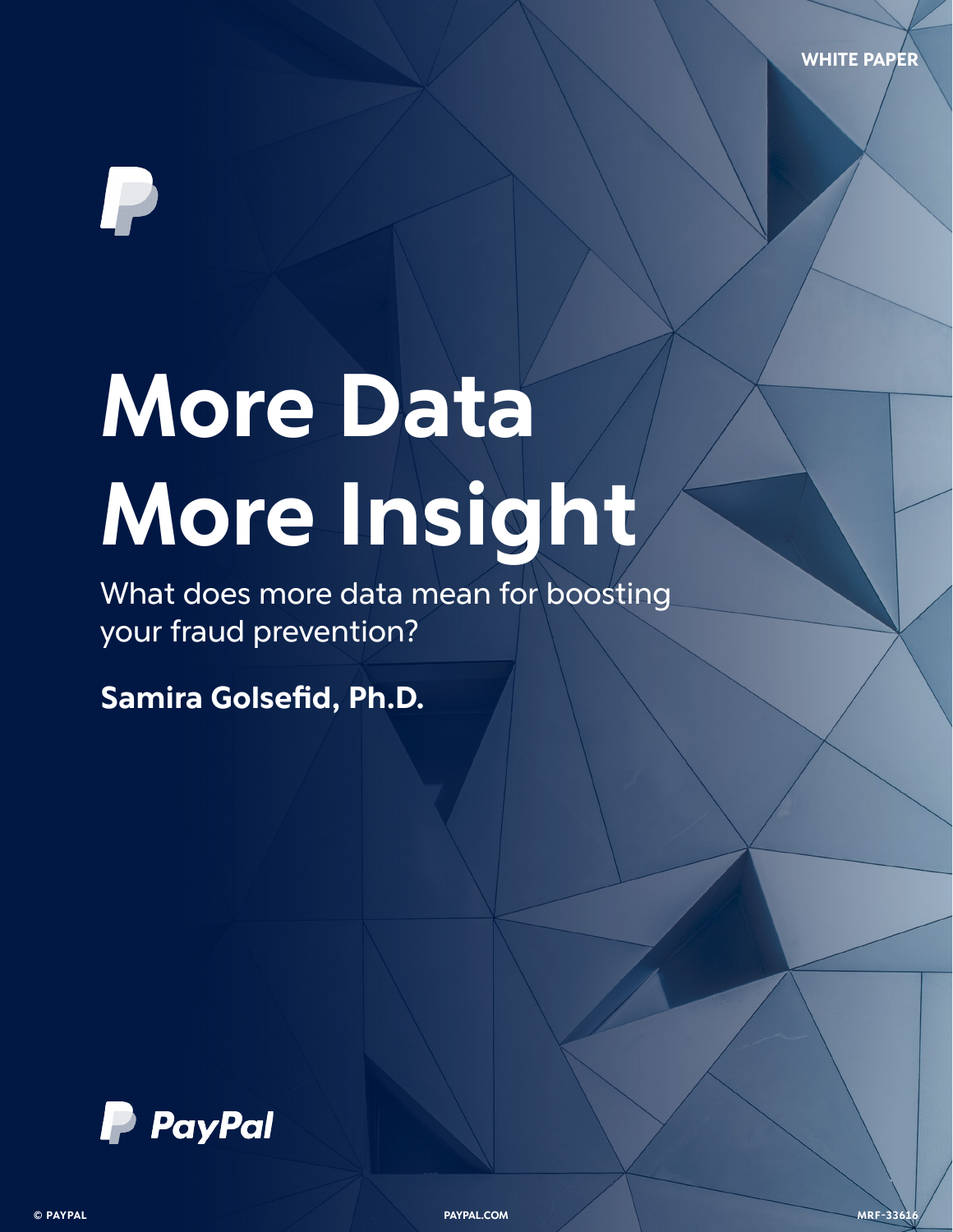**WHITE PAPER**

# **More Data More Insight**

What does more data mean for boosting your fraud prevention?

**Samira Golsefid, Ph.D.**



**© PAYPAL PAYPAL.COM 1 MRF-3361**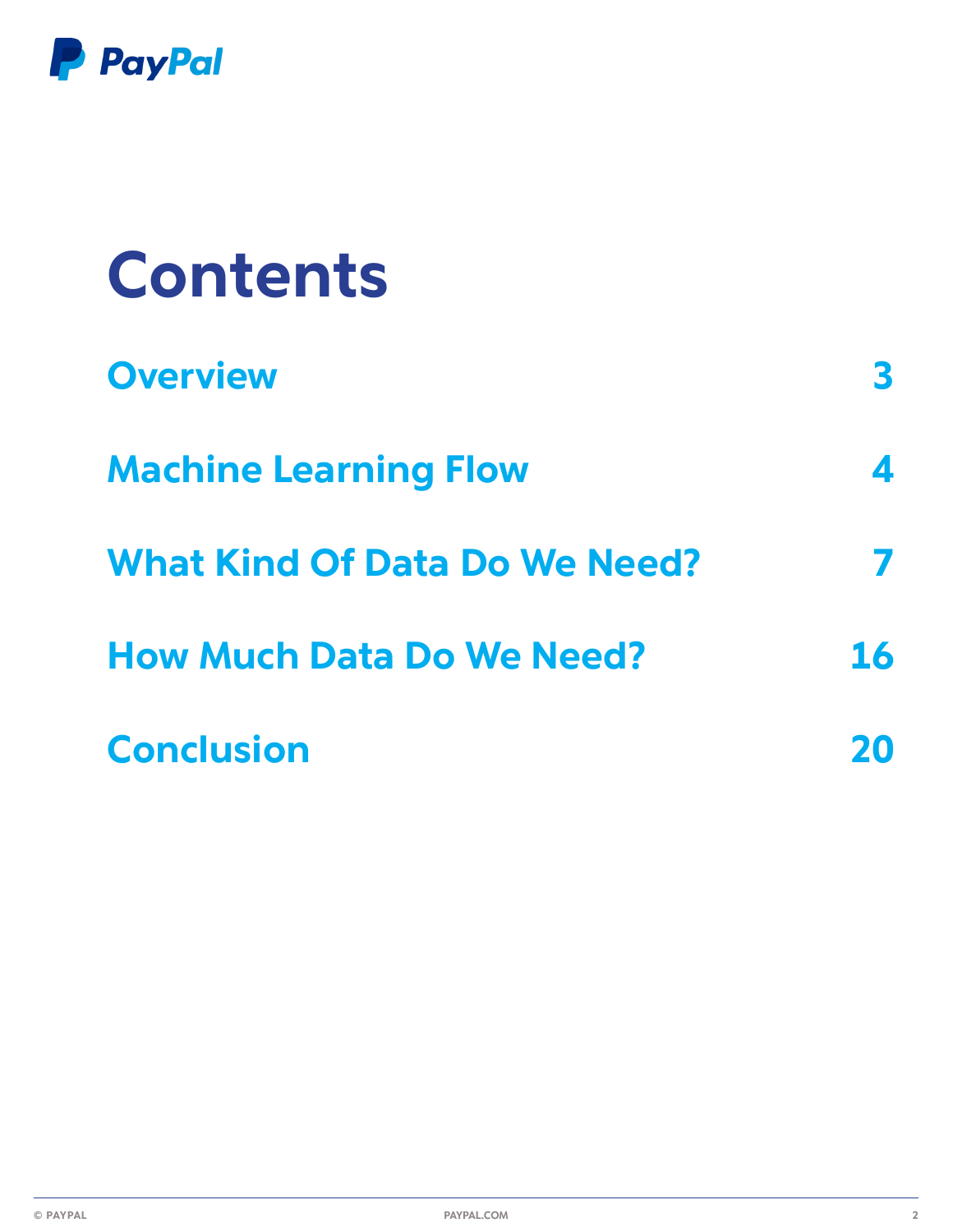

| <b>Contents</b>                      |                  |
|--------------------------------------|------------------|
| <b>Overview</b>                      | <sup>3</sup>     |
| <b>Machine Learning Flow</b>         | $\blacktriangle$ |
| <b>What Kind Of Data Do We Need?</b> |                  |
| <b>How Much Data Do We Need?</b>     | <b>16</b>        |
| <b>Conclusion</b>                    |                  |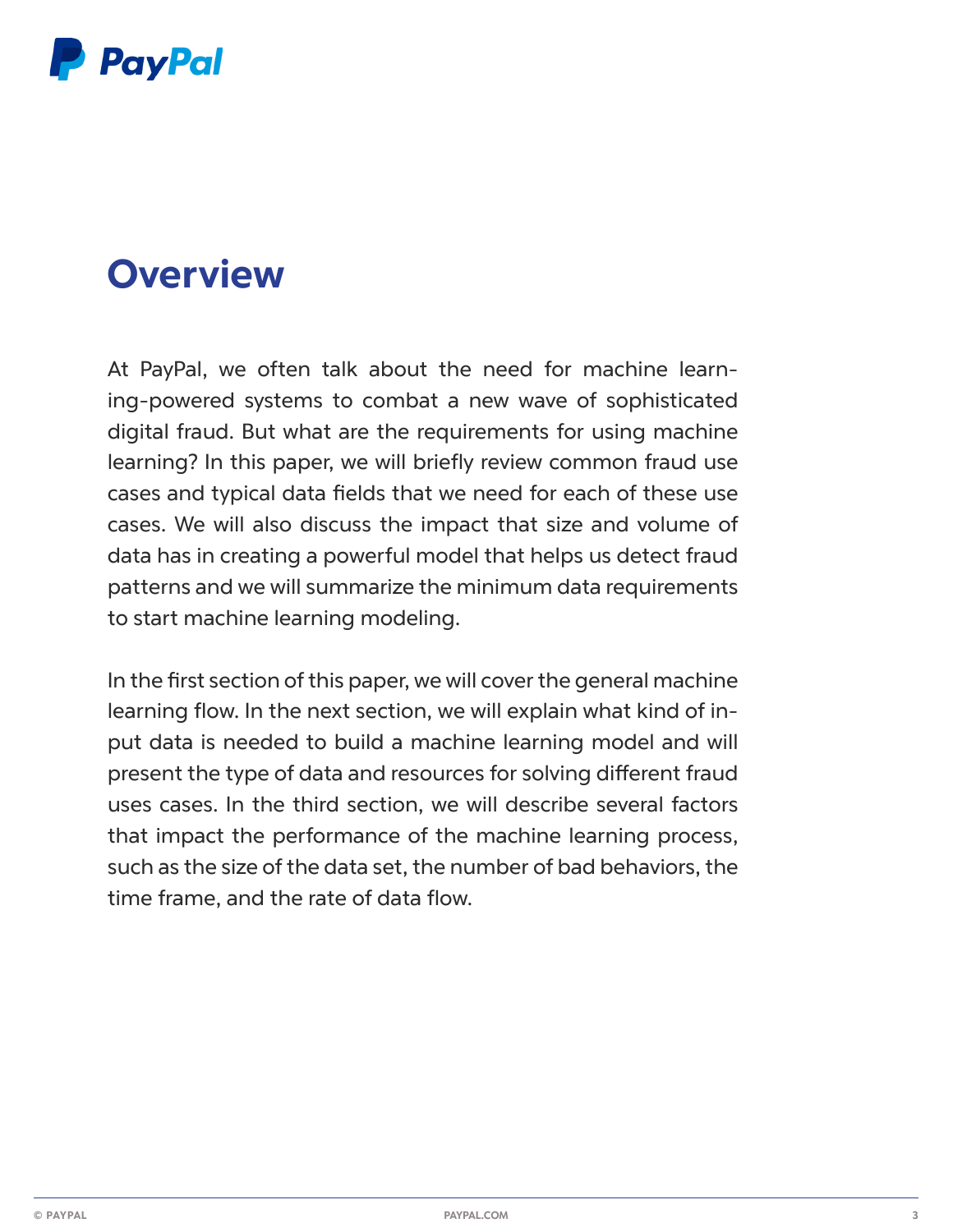

## **Overview**

At PayPal, we often talk about the need for machine learning-powered systems to combat a new wave of sophisticated digital fraud. But what are the requirements for using machine learning? In this paper, we will briefly review common fraud use cases and typical data fields that we need for each of these use cases. We will also discuss the impact that size and volume of data has in creating a powerful model that helps us detect fraud patterns and we will summarize the minimum data requirements to start machine learning modeling.

In the first section of this paper, we will cover the general machine learning flow. In the next section, we will explain what kind of input data is needed to build a machine learning model and will present the type of data and resources for solving different fraud uses cases. In the third section, we will describe several factors that impact the performance of the machine learning process, such as the size of the data set, the number of bad behaviors, the time frame, and the rate of data flow.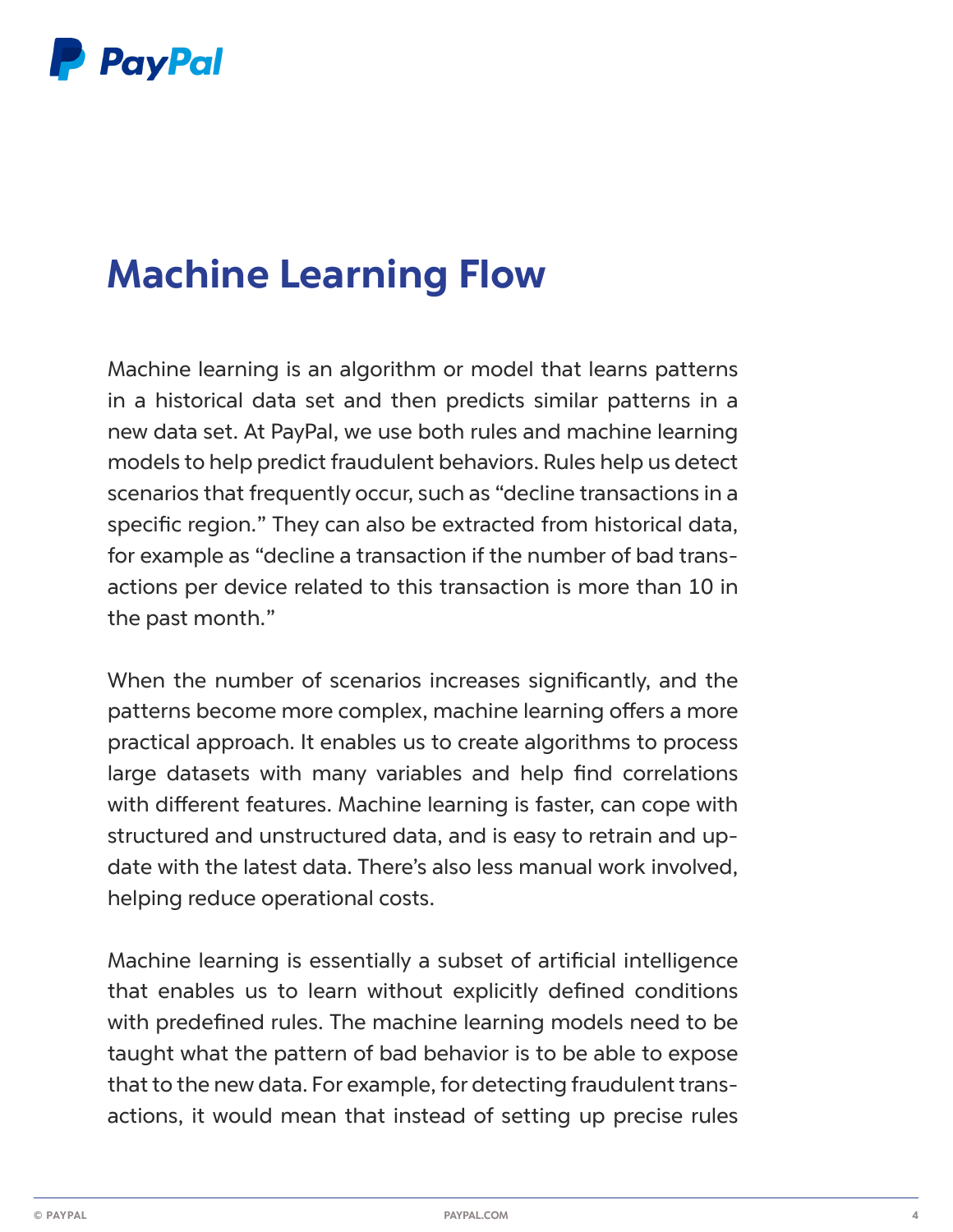

## **Machine Learning Flow**

Machine learning is an algorithm or model that learns patterns in a historical data set and then predicts similar patterns in a new data set. At PayPal, we use both rules and machine learning models to help predict fraudulent behaviors. Rules help us detect scenarios that frequently occur, such as "decline transactions in a specific region." They can also be extracted from historical data, for example as "decline a transaction if the number of bad transactions per device related to this transaction is more than 10 in the past month."

When the number of scenarios increases significantly, and the patterns become more complex, machine learning offers a more practical approach. It enables us to create algorithms to process large datasets with many variables and help find correlations with different features. Machine learning is faster, can cope with structured and unstructured data, and is easy to retrain and update with the latest data. There's also less manual work involved, helping reduce operational costs.

Machine learning is essentially a subset of artificial intelligence that enables us to learn without explicitly defined conditions with predefined rules. The machine learning models need to be taught what the pattern of bad behavior is to be able to expose that to the new data. For example, for detecting fraudulent transactions, it would mean that instead of setting up precise rules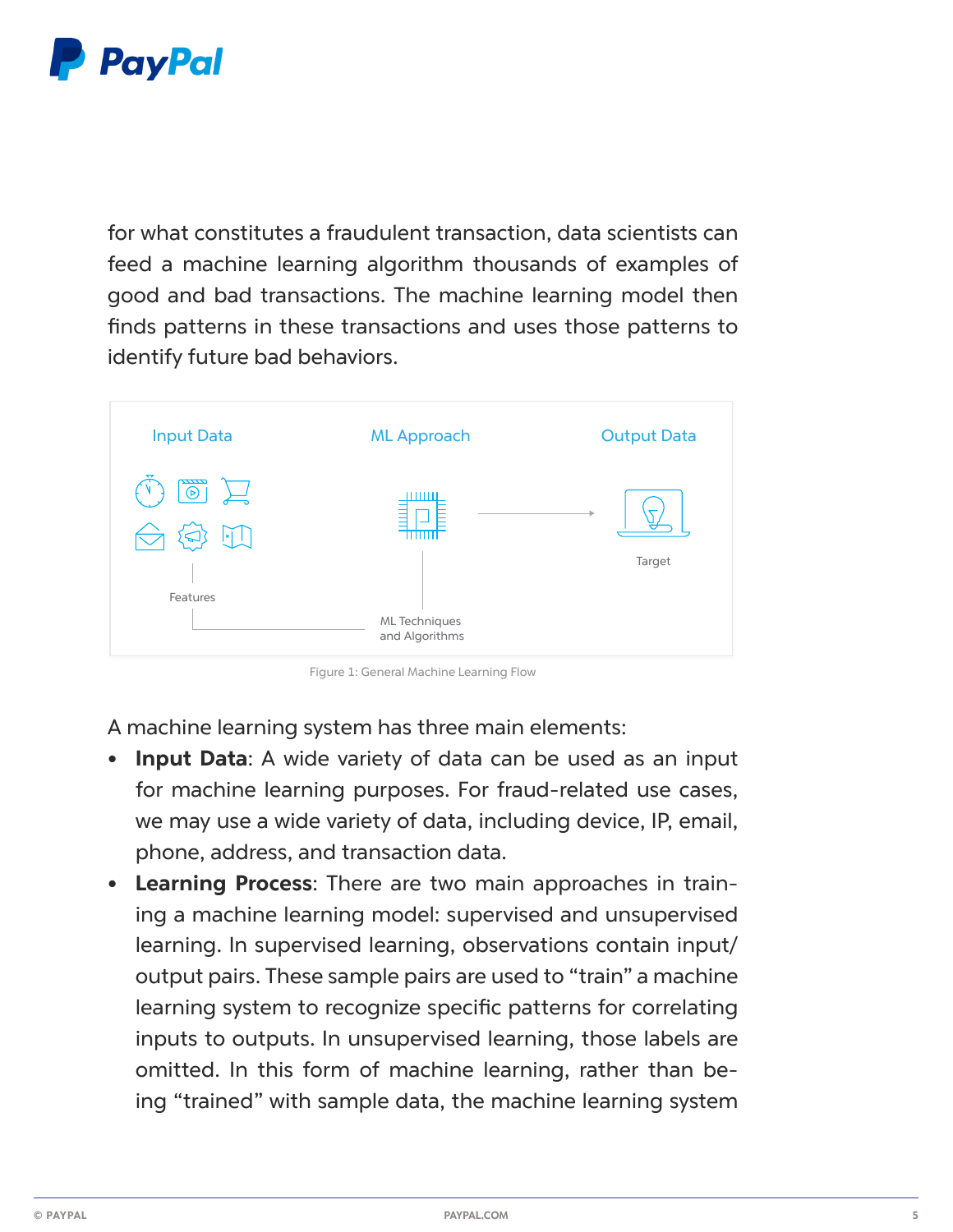

for what constitutes a fraudulent transaction, data scientists can feed a machine learning algorithm thousands of examples of good and bad transactions. The machine learning model then finds patterns in these transactions and uses those patterns to identify future bad behaviors.



Figure 1: General Machine Learning Flow

A machine learning system has three main elements:

- **Input Data:** A wide variety of data can be used as an input for machine learning purposes. For fraud-related use cases, we may use a wide variety of data, including device, IP, email, phone, address, and transaction data.
- **• Learning Process**: There are two main approaches in training a machine learning model: supervised and unsupervised learning. In supervised learning, observations contain input/ output pairs. These sample pairs are used to "train" a machine learning system to recognize specific patterns for correlating inputs to outputs. In unsupervised learning, those labels are omitted. In this form of machine learning, rather than being "trained" with sample data, the machine learning system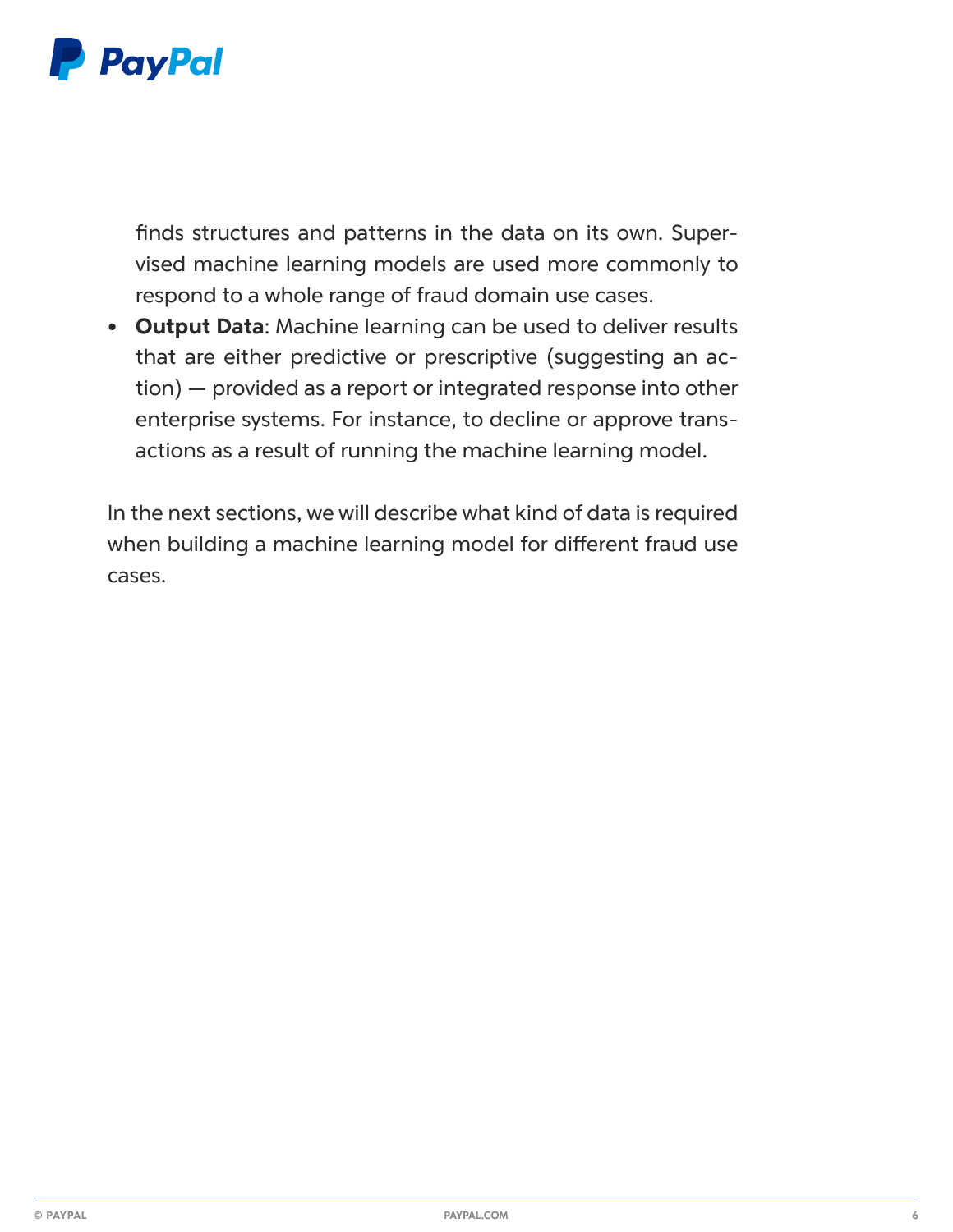

finds structures and patterns in the data on its own. Supervised machine learning models are used more commonly to respond to a whole range of fraud domain use cases.

**• Output Data**: Machine learning can be used to deliver results that are either predictive or prescriptive (suggesting an action) — provided as a report or integrated response into other enterprise systems. For instance, to decline or approve transactions as a result of running the machine learning model.

In the next sections, we will describe what kind of data is required when building a machine learning model for different fraud use cases.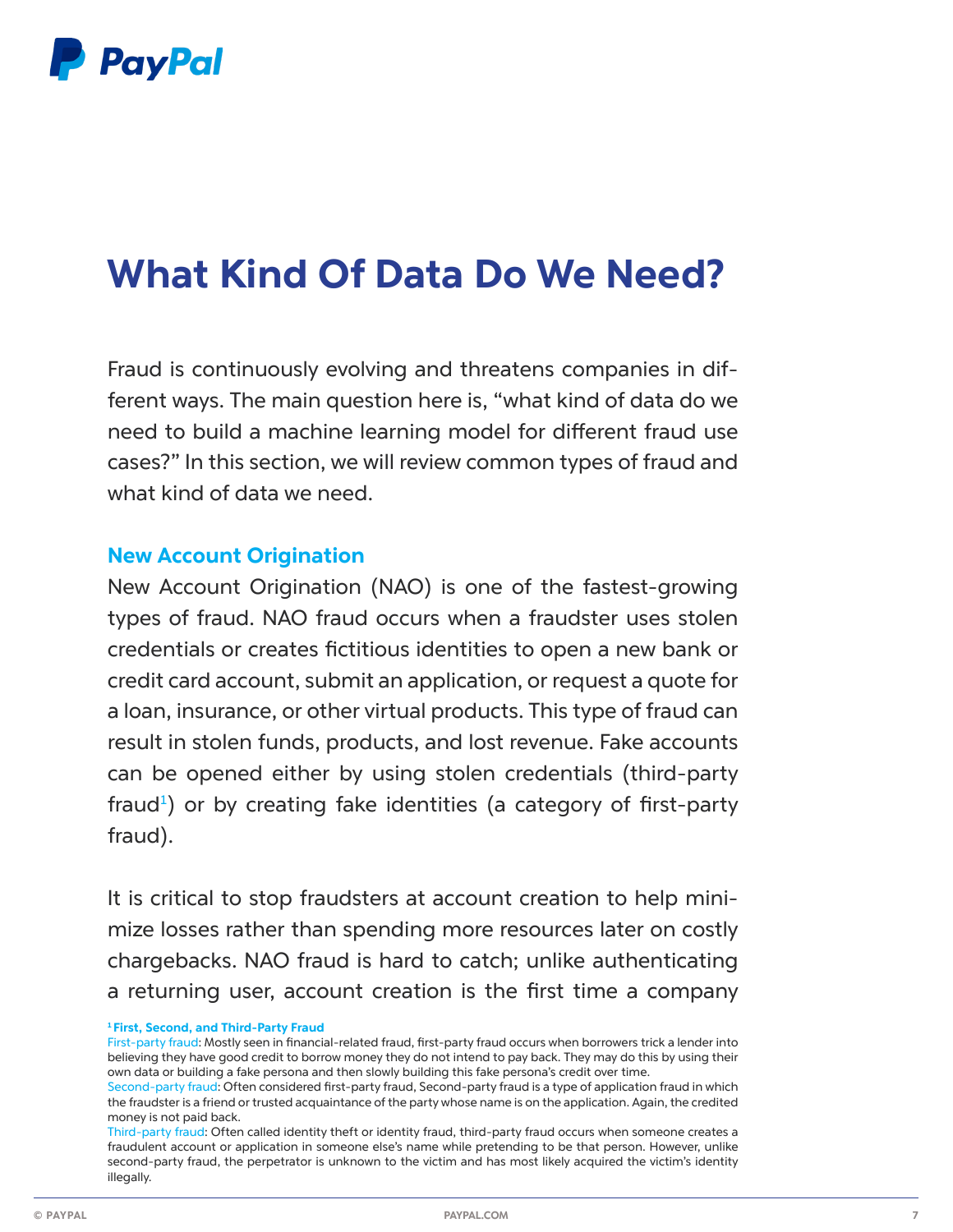

## **What Kind Of Data Do We Need?**

Fraud is continuously evolving and threatens companies in different ways. The main question here is, "what kind of data do we need to build a machine learning model for different fraud use cases?" In this section, we will review common types of fraud and what kind of data we need.

#### **New Account Origination**

New Account Origination (NAO) is one of the fastest-growing types of fraud. NAO fraud occurs when a fraudster uses stolen credentials or creates fictitious identities to open a new bank or credit card account, submit an application, or request a quote for a loan, insurance, or other virtual products. This type of fraud can result in stolen funds, products, and lost revenue. Fake accounts can be opened either by using stolen credentials (third-party fraud<sup>1</sup>) or by creating fake identities (a category of first-party fraud).

It is critical to stop fraudsters at account creation to help minimize losses rather than spending more resources later on costly chargebacks. NAO fraud is hard to catch; unlike authenticating a returning user, account creation is the first time a company

**<sup>1</sup>First, Second, and Third-Party Fraud**

First-party fraud: Mostly seen in financial-related fraud, first-party fraud occurs when borrowers trick a lender into believing they have good credit to borrow money they do not intend to pay back. They may do this by using their own data or building a fake persona and then slowly building this fake persona's credit over time.

Second-party fraud: Often considered first-party fraud, Second-party fraud is a type of application fraud in which the fraudster is a friend or trusted acquaintance of the party whose name is on the application. Again, the credited money is not paid back.

Third-party fraud: Often called identity theft or identity fraud, third-party fraud occurs when someone creates a fraudulent account or application in someone else's name while pretending to be that person. However, unlike second-party fraud, the perpetrator is unknown to the victim and has most likely acquired the victim's identity illegally.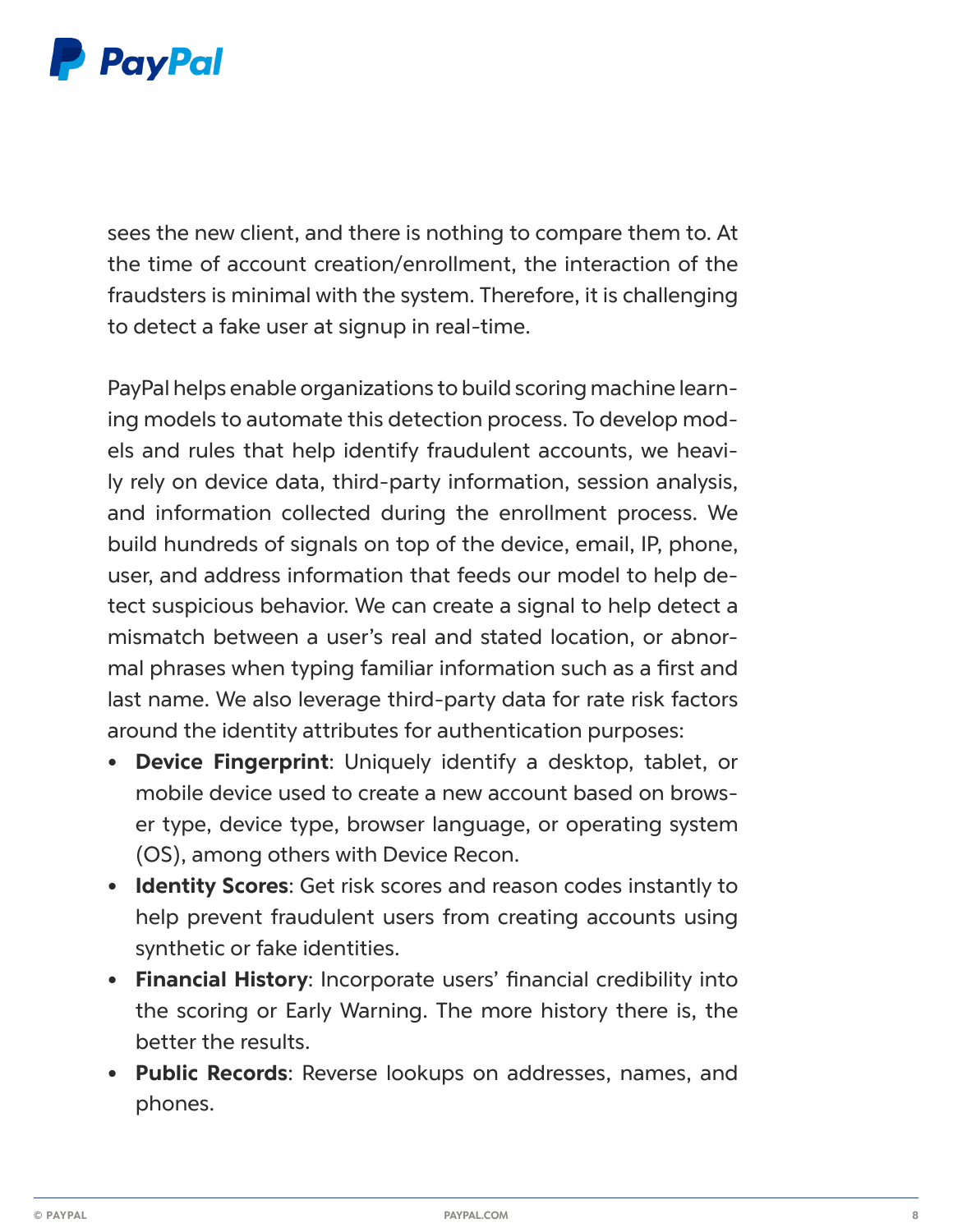

sees the new client, and there is nothing to compare them to. At the time of account creation/enrollment, the interaction of the fraudsters is minimal with the system. Therefore, it is challenging to detect a fake user at signup in real-time.

PayPal helps enable organizations to build scoring machine learning models to automate this detection process. To develop models and rules that help identify fraudulent accounts, we heavily rely on device data, third-party information, session analysis, and information collected during the enrollment process. We build hundreds of signals on top of the device, email, IP, phone, user, and address information that feeds our model to help detect suspicious behavior. We can create a signal to help detect a mismatch between a user's real and stated location, or abnormal phrases when typing familiar information such as a first and last name. We also leverage third-party data for rate risk factors around the identity attributes for authentication purposes:

- **• Device Fingerprint**: Uniquely identify a desktop, tablet, or mobile device used to create a new account based on browser type, device type, browser language, or operating system (OS), among others with Device Recon.
- **• Identity Scores**: Get risk scores and reason codes instantly to help prevent fraudulent users from creating accounts using synthetic or fake identities.
- **• Financial History**: Incorporate users' financial credibility into the scoring or Early Warning. The more history there is, the better the results.
- **• Public Records**: Reverse lookups on addresses, names, and phones.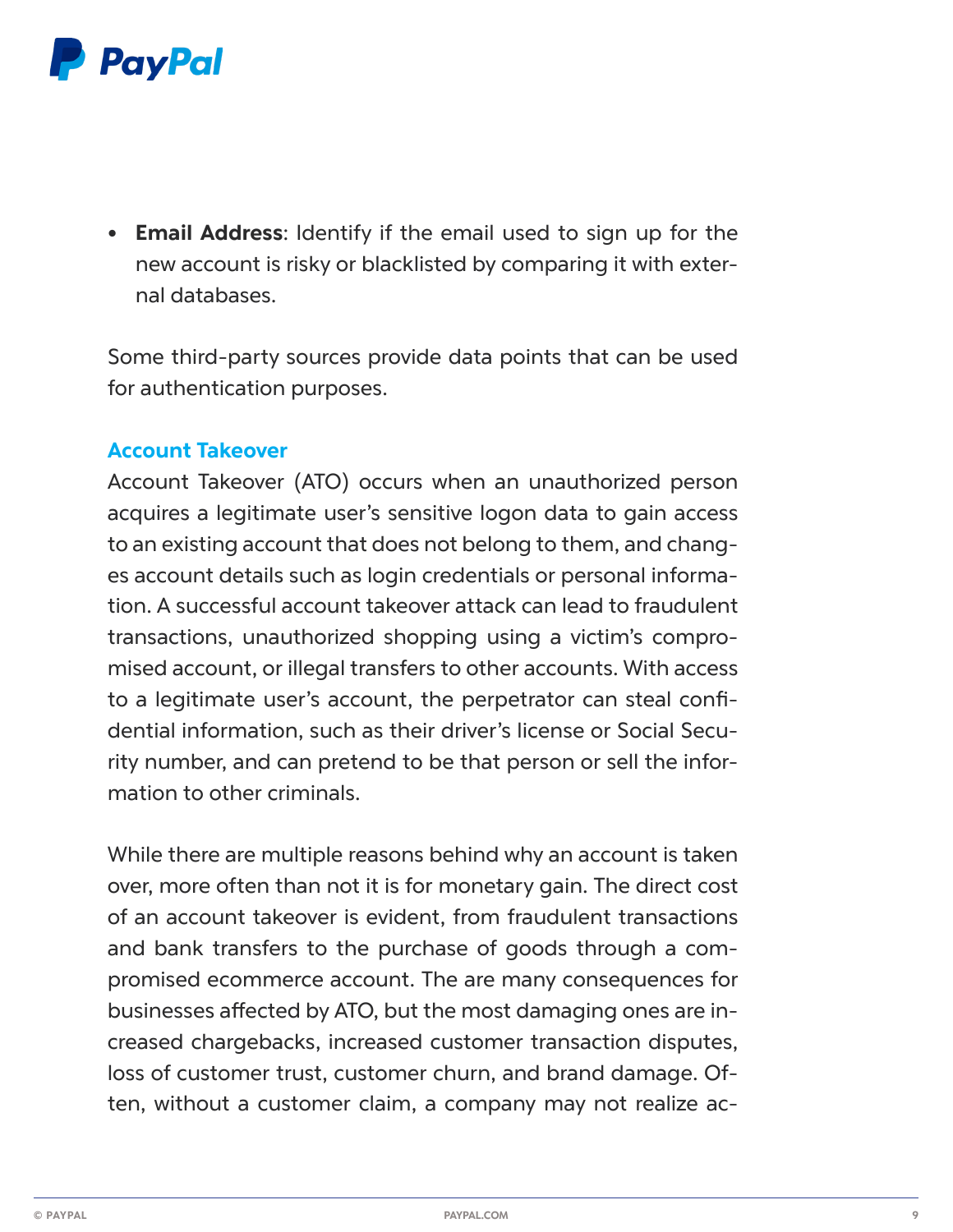

**• Email Address**: Identify if the email used to sign up for the new account is risky or blacklisted by comparing it with external databases.

Some third-party sources provide data points that can be used for authentication purposes.

#### **Account Takeover**

Account Takeover (ATO) occurs when an unauthorized person acquires a legitimate user's sensitive logon data to gain access to an existing account that does not belong to them, and changes account details such as login credentials or personal information. A successful account takeover attack can lead to fraudulent transactions, unauthorized shopping using a victim's compromised account, or illegal transfers to other accounts. With access to a legitimate user's account, the perpetrator can steal confidential information, such as their driver's license or Social Security number, and can pretend to be that person or sell the information to other criminals.

While there are multiple reasons behind why an account is taken over, more often than not it is for monetary gain. The direct cost of an account takeover is evident, from fraudulent transactions and bank transfers to the purchase of goods through a compromised ecommerce account. The are many consequences for businesses affected by ATO, but the most damaging ones are increased chargebacks, increased customer transaction disputes, loss of customer trust, customer churn, and brand damage. Often, without a customer claim, a company may not realize ac-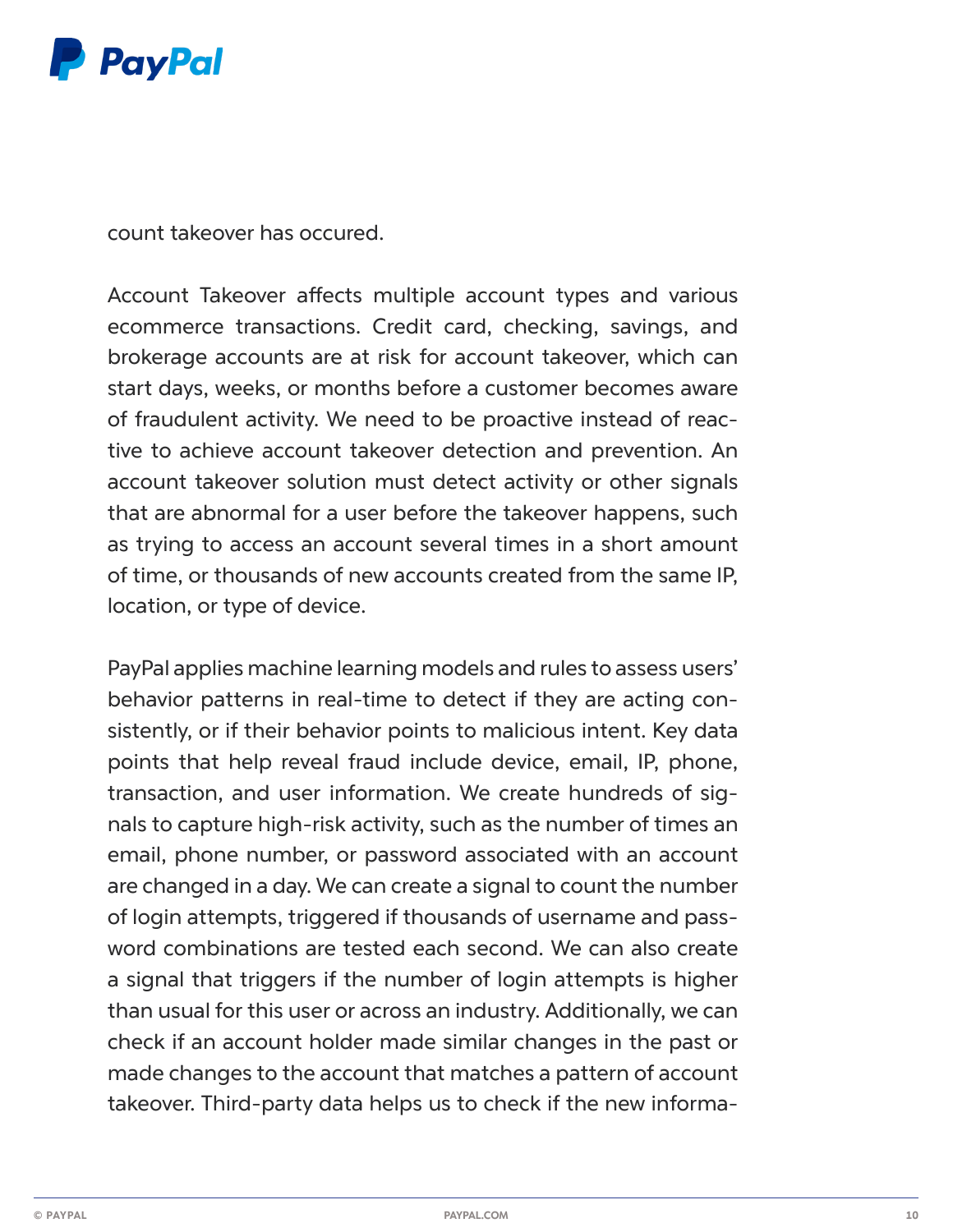

count takeover has occured.

Account Takeover affects multiple account types and various ecommerce transactions. Credit card, checking, savings, and brokerage accounts are at risk for account takeover, which can start days, weeks, or months before a customer becomes aware of fraudulent activity. We need to be proactive instead of reactive to achieve account takeover detection and prevention. An account takeover solution must detect activity or other signals that are abnormal for a user before the takeover happens, such as trying to access an account several times in a short amount of time, or thousands of new accounts created from the same IP, location, or type of device.

PayPal applies machine learning models and rules to assess users' behavior patterns in real-time to detect if they are acting consistently, or if their behavior points to malicious intent. Key data points that help reveal fraud include device, email, IP, phone, transaction, and user information. We create hundreds of signals to capture high-risk activity, such as the number of times an email, phone number, or password associated with an account are changed in a day. We can create a signal to count the number of login attempts, triggered if thousands of username and password combinations are tested each second. We can also create a signal that triggers if the number of login attempts is higher than usual for this user or across an industry. Additionally, we can check if an account holder made similar changes in the past or made changes to the account that matches a pattern of account takeover. Third-party data helps us to check if the new informa-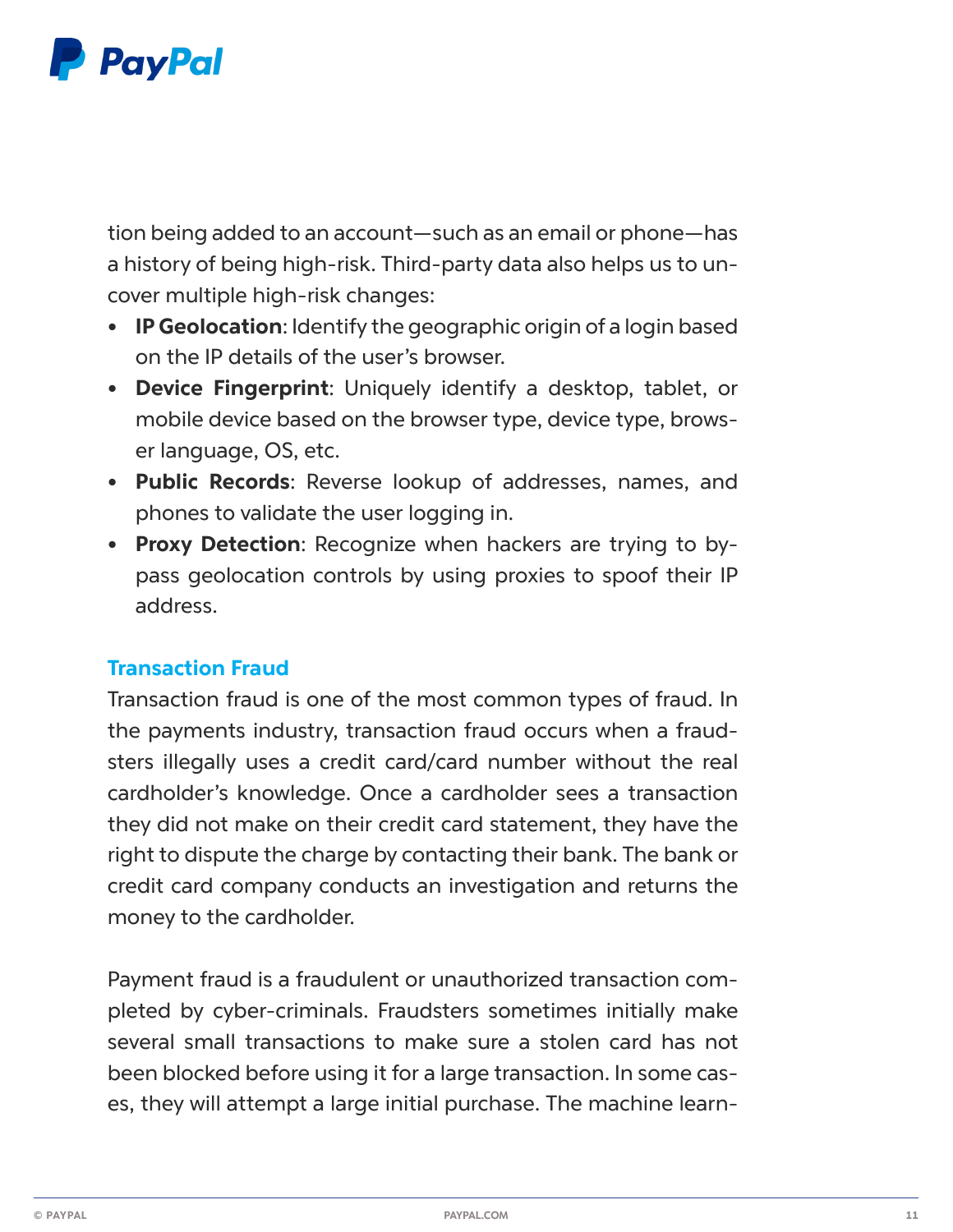

tion being added to an account—such as an email or phone—has a history of being high-risk. Third-party data also helps us to uncover multiple high-risk changes:

- **• IP Geolocation**: Identify the geographic origin of a login based on the IP details of the user's browser.
- **• Device Fingerprint**: Uniquely identify a desktop, tablet, or mobile device based on the browser type, device type, browser language, OS, etc.
- **• Public Records**: Reverse lookup of addresses, names, and phones to validate the user logging in.
- **• Proxy Detection**: Recognize when hackers are trying to bypass geolocation controls by using proxies to spoof their IP address.

#### **Transaction Fraud**

Transaction fraud is one of the most common types of fraud. In the payments industry, transaction fraud occurs when a fraudsters illegally uses a credit card/card number without the real cardholder's knowledge. Once a cardholder sees a transaction they did not make on their credit card statement, they have the right to dispute the charge by contacting their bank. The bank or credit card company conducts an investigation and returns the money to the cardholder.

Payment fraud is a fraudulent or unauthorized transaction completed by cyber-criminals. Fraudsters sometimes initially make several small transactions to make sure a stolen card has not been blocked before using it for a large transaction. In some cases, they will attempt a large initial purchase. The machine learn-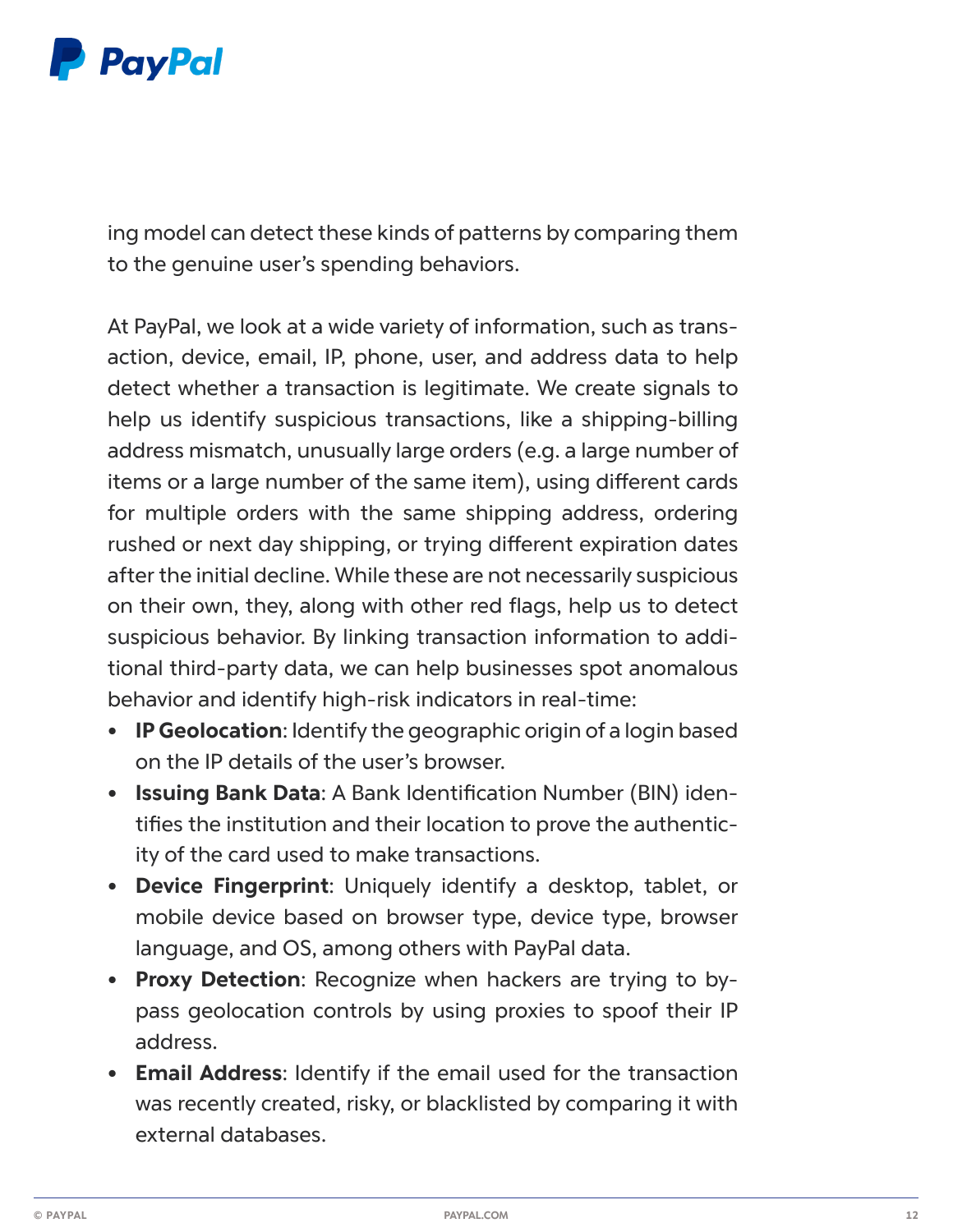

ing model can detect these kinds of patterns by comparing them to the genuine user's spending behaviors.

At PayPal, we look at a wide variety of information, such as transaction, device, email, IP, phone, user, and address data to help detect whether a transaction is legitimate. We create signals to help us identify suspicious transactions, like a shipping-billing address mismatch, unusually large orders (e.g. a large number of items or a large number of the same item), using different cards for multiple orders with the same shipping address, ordering rushed or next day shipping, or trying different expiration dates after the initial decline. While these are not necessarily suspicious on their own, they, along with other red flags, help us to detect suspicious behavior. By linking transaction information to additional third-party data, we can help businesses spot anomalous behavior and identify high-risk indicators in real-time:

- **• IP Geolocation**: Identify the geographic origin of a login based on the IP details of the user's browser.
- **• Issuing Bank Data**: A Bank Identification Number (BIN) identifies the institution and their location to prove the authenticity of the card used to make transactions.
- **• Device Fingerprint**: Uniquely identify a desktop, tablet, or mobile device based on browser type, device type, browser language, and OS, among others with PayPal data.
- **• Proxy Detection**: Recognize when hackers are trying to bypass geolocation controls by using proxies to spoof their IP address.
- **• Email Address**: Identify if the email used for the transaction was recently created, risky, or blacklisted by comparing it with external databases.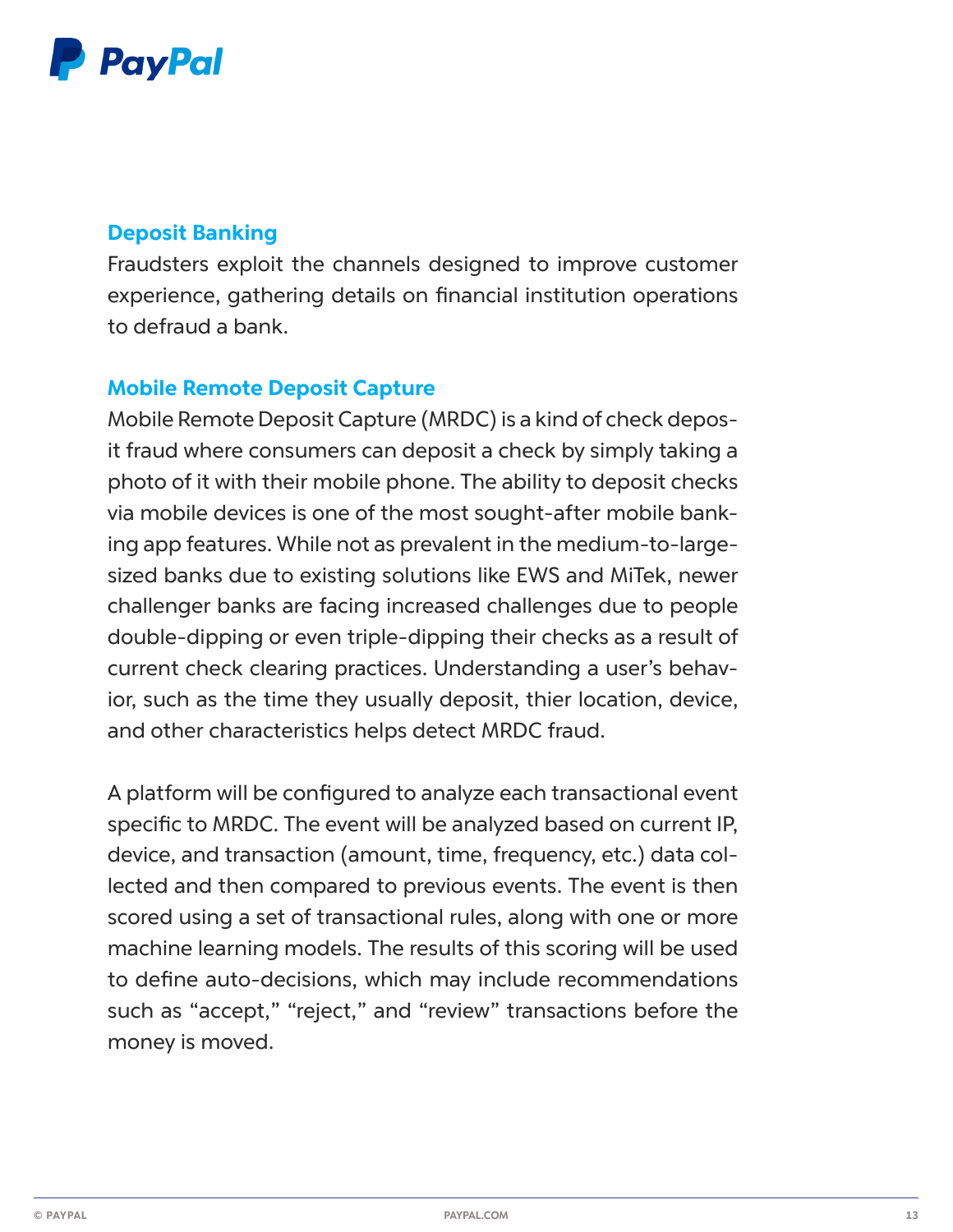

### **Deposit Banking**

Fraudsters exploit the channels designed to improve customer experience, gathering details on financial institution operations to defraud a bank.

#### **Mobile Remote Deposit Capture**

Mobile Remote Deposit Capture (MRDC) is a kind of check deposit fraud where consumers can deposit a check by simply taking a photo of it with their mobile phone. The ability to deposit checks via mobile devices is one of the most sought-after mobile banking app features. While not as prevalent in the medium-to-largesized banks due to existing solutions like EWS and MiTek, newer challenger banks are facing increased challenges due to people double-dipping or even triple-dipping their checks as a result of current check clearing practices. Understanding a user's behavior, such as the time they usually deposit, thier location, device, and other characteristics helps detect MRDC fraud.

A platform will be configured to analyze each transactional event specific to MRDC. The event will be analyzed based on current IP, device, and transaction (amount, time, frequency, etc.) data collected and then compared to previous events. The event is then scored using a set of transactional rules, along with one or more machine learning models. The results of this scoring will be used to define auto-decisions, which may include recommendations such as "accept," "reject," and "review" transactions before the money is moved.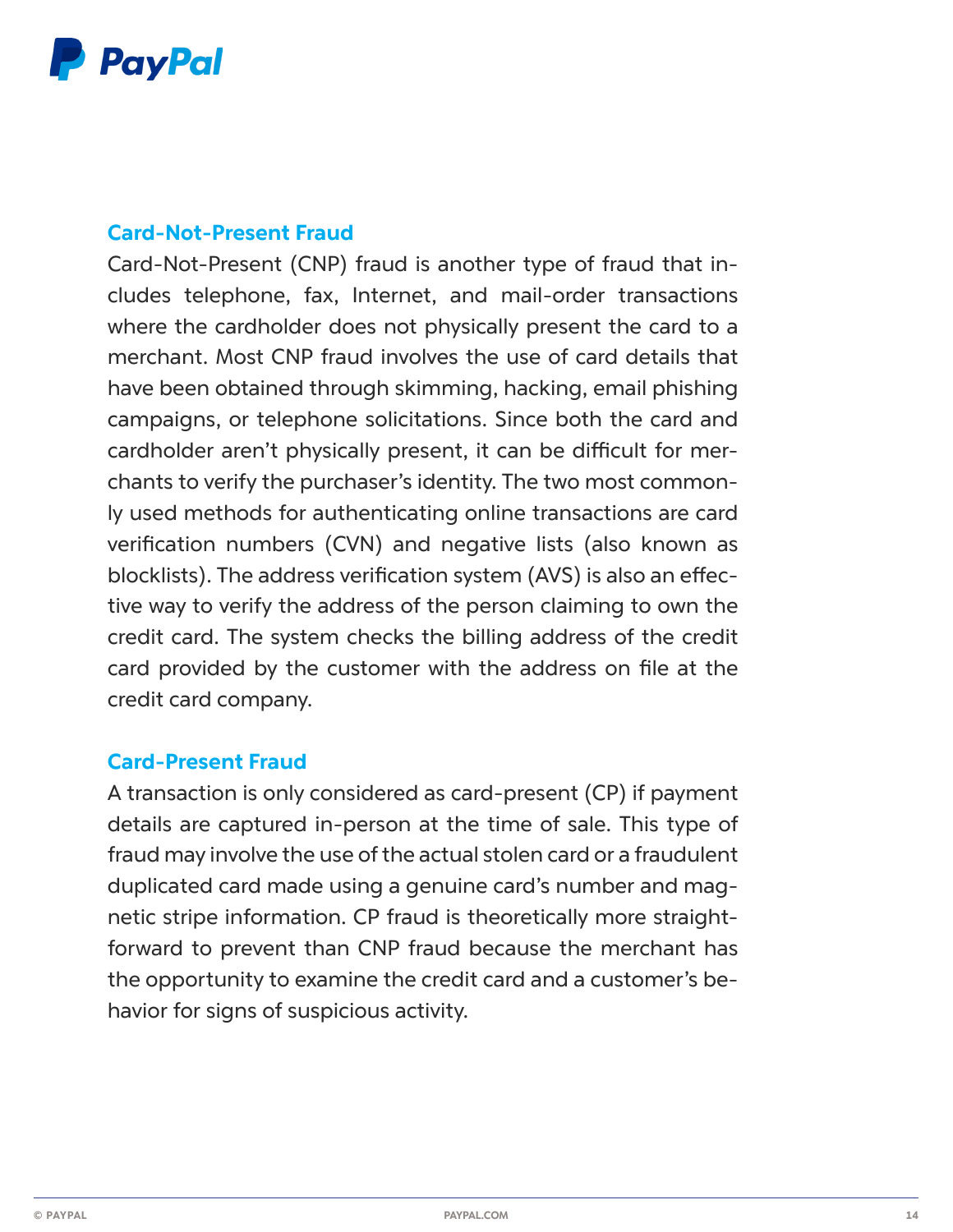

#### **Card-Not-Present Fraud**

Card-Not-Present (CNP) fraud is another type of fraud that includes telephone, fax, Internet, and mail-order transactions where the cardholder does not physically present the card to a merchant. Most CNP fraud involves the use of card details that have been obtained through skimming, hacking, email phishing campaigns, or telephone solicitations. Since both the card and cardholder aren't physically present, it can be difficult for merchants to verify the purchaser's identity. The two most commonly used methods for authenticating online transactions are card verification numbers (CVN) and negative lists (also known as blocklists). The address verification system (AVS) is also an effective way to verify the address of the person claiming to own the credit card. The system checks the billing address of the credit card provided by the customer with the address on file at the credit card company.

#### **Card-Present Fraud**

A transaction is only considered as card-present (CP) if payment details are captured in-person at the time of sale. This type of fraud may involve the use of the actual stolen card or a fraudulent duplicated card made using a genuine card's number and magnetic stripe information. CP fraud is theoretically more straightforward to prevent than CNP fraud because the merchant has the opportunity to examine the credit card and a customer's behavior for signs of suspicious activity.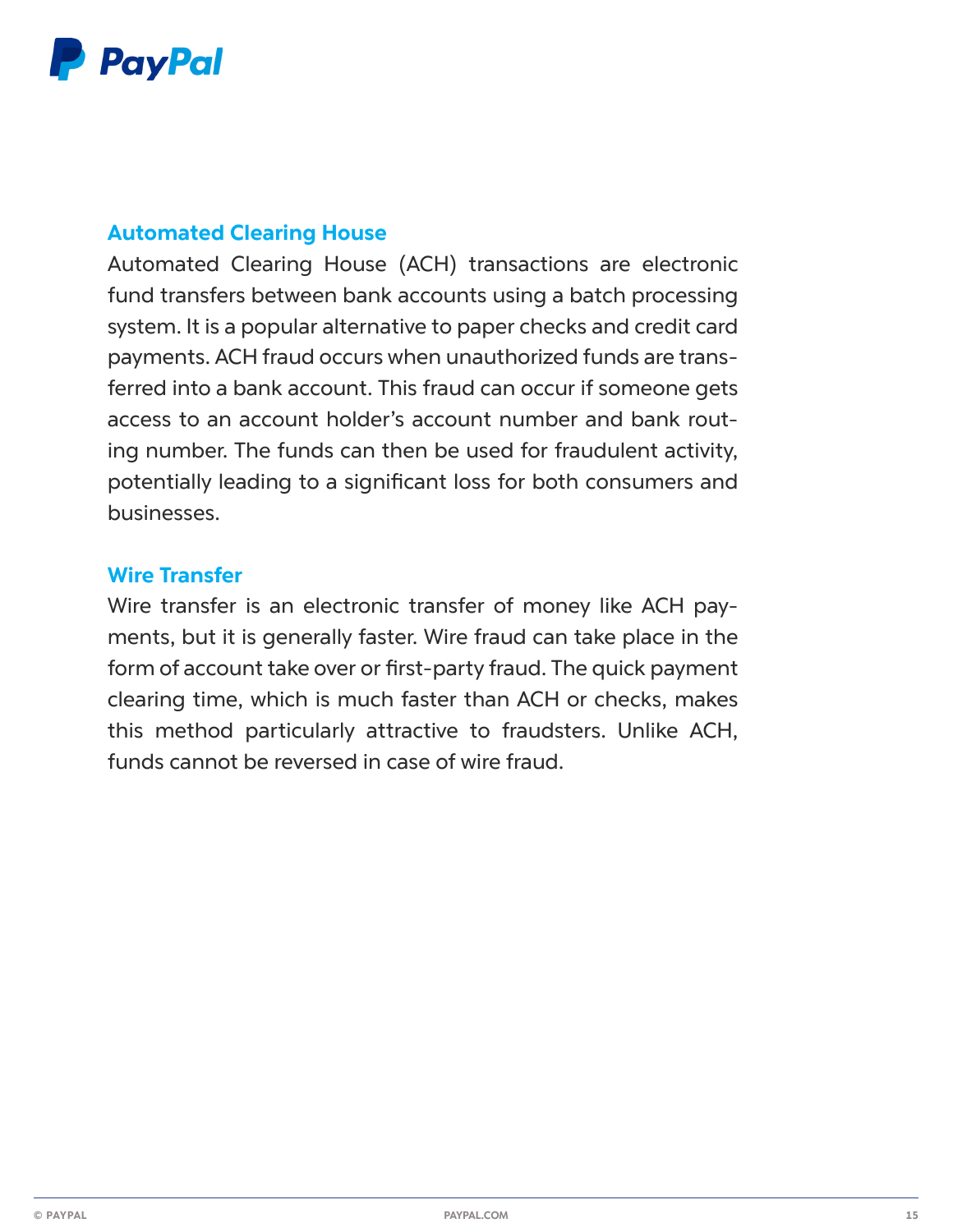

#### **Automated Clearing House**

Automated Clearing House (ACH) transactions are electronic fund transfers between bank accounts using a batch processing system. It is a popular alternative to paper checks and credit card payments. ACH fraud occurs when unauthorized funds are transferred into a bank account. This fraud can occur if someone gets access to an account holder's account number and bank routing number. The funds can then be used for fraudulent activity, potentially leading to a significant loss for both consumers and businesses.

#### **Wire Transfer**

Wire transfer is an electronic transfer of money like ACH payments, but it is generally faster. Wire fraud can take place in the form of account take over or first-party fraud. The quick payment clearing time, which is much faster than ACH or checks, makes this method particularly attractive to fraudsters. Unlike ACH, funds cannot be reversed in case of wire fraud.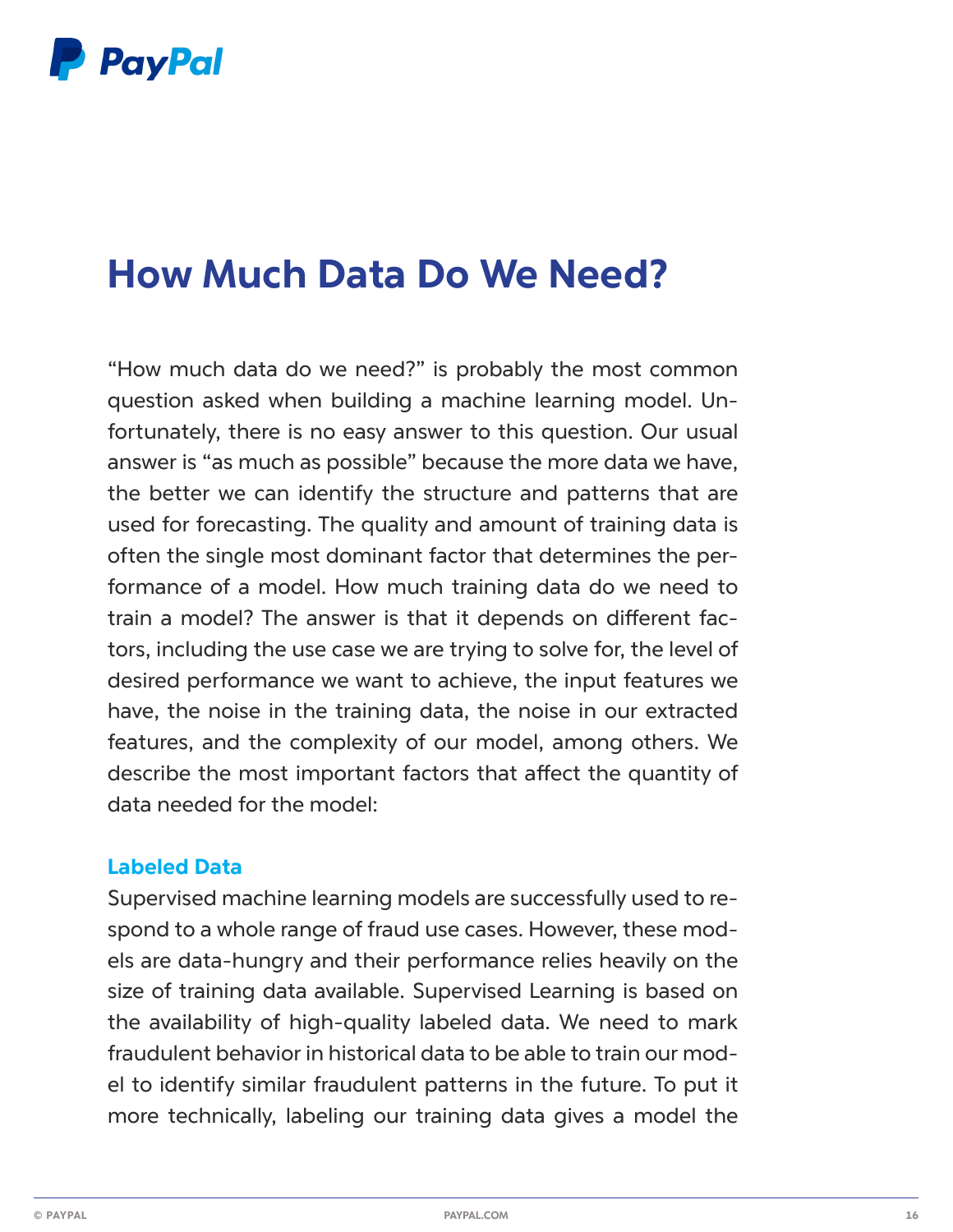

## **How Much Data Do We Need?**

"How much data do we need?" is probably the most common question asked when building a machine learning model. Unfortunately, there is no easy answer to this question. Our usual answer is "as much as possible" because the more data we have, the better we can identify the structure and patterns that are used for forecasting. The quality and amount of training data is often the single most dominant factor that determines the performance of a model. How much training data do we need to train a model? The answer is that it depends on different factors, including the use case we are trying to solve for, the level of desired performance we want to achieve, the input features we have, the noise in the training data, the noise in our extracted features, and the complexity of our model, among others. We describe the most important factors that affect the quantity of data needed for the model:

#### **Labeled Data**

Supervised machine learning models are successfully used to respond to a whole range of fraud use cases. However, these models are data-hungry and their performance relies heavily on the size of training data available. Supervised Learning is based on the availability of high-quality labeled data. We need to mark fraudulent behavior in historical data to be able to train our model to identify similar fraudulent patterns in the future. To put it more technically, labeling our training data gives a model the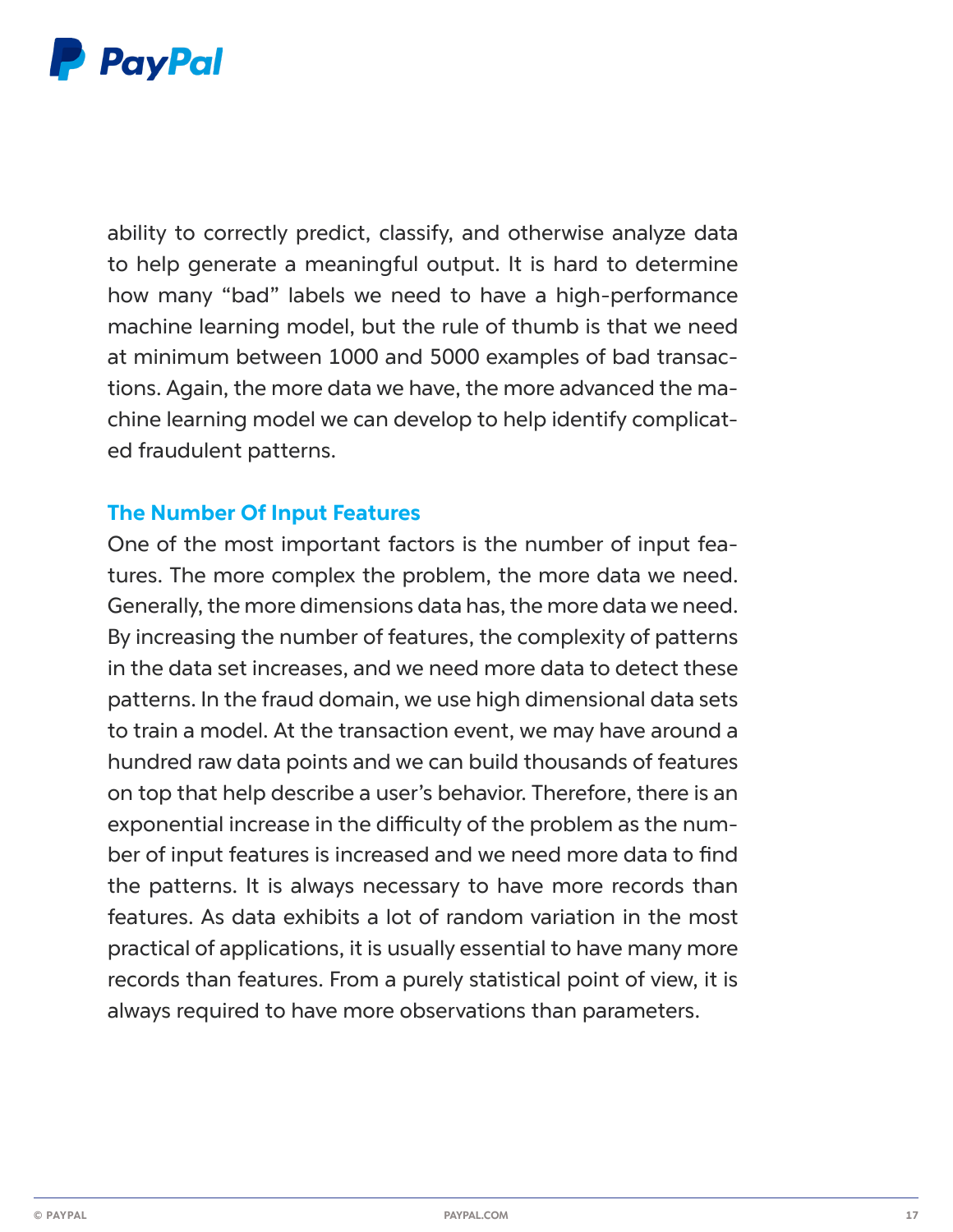

ability to correctly predict, classify, and otherwise analyze data to help generate a meaningful output. It is hard to determine how many "bad" labels we need to have a high-performance machine learning model, but the rule of thumb is that we need at minimum between 1000 and 5000 examples of bad transactions. Again, the more data we have, the more advanced the machine learning model we can develop to help identify complicated fraudulent patterns.

#### **The Number Of Input Features**

One of the most important factors is the number of input features. The more complex the problem, the more data we need. Generally, the more dimensions data has, the more data we need. By increasing the number of features, the complexity of patterns in the data set increases, and we need more data to detect these patterns. In the fraud domain, we use high dimensional data sets to train a model. At the transaction event, we may have around a hundred raw data points and we can build thousands of features on top that help describe a user's behavior. Therefore, there is an exponential increase in the difficulty of the problem as the number of input features is increased and we need more data to find the patterns. It is always necessary to have more records than features. As data exhibits a lot of random variation in the most practical of applications, it is usually essential to have many more records than features. From a purely statistical point of view, it is always required to have more observations than parameters.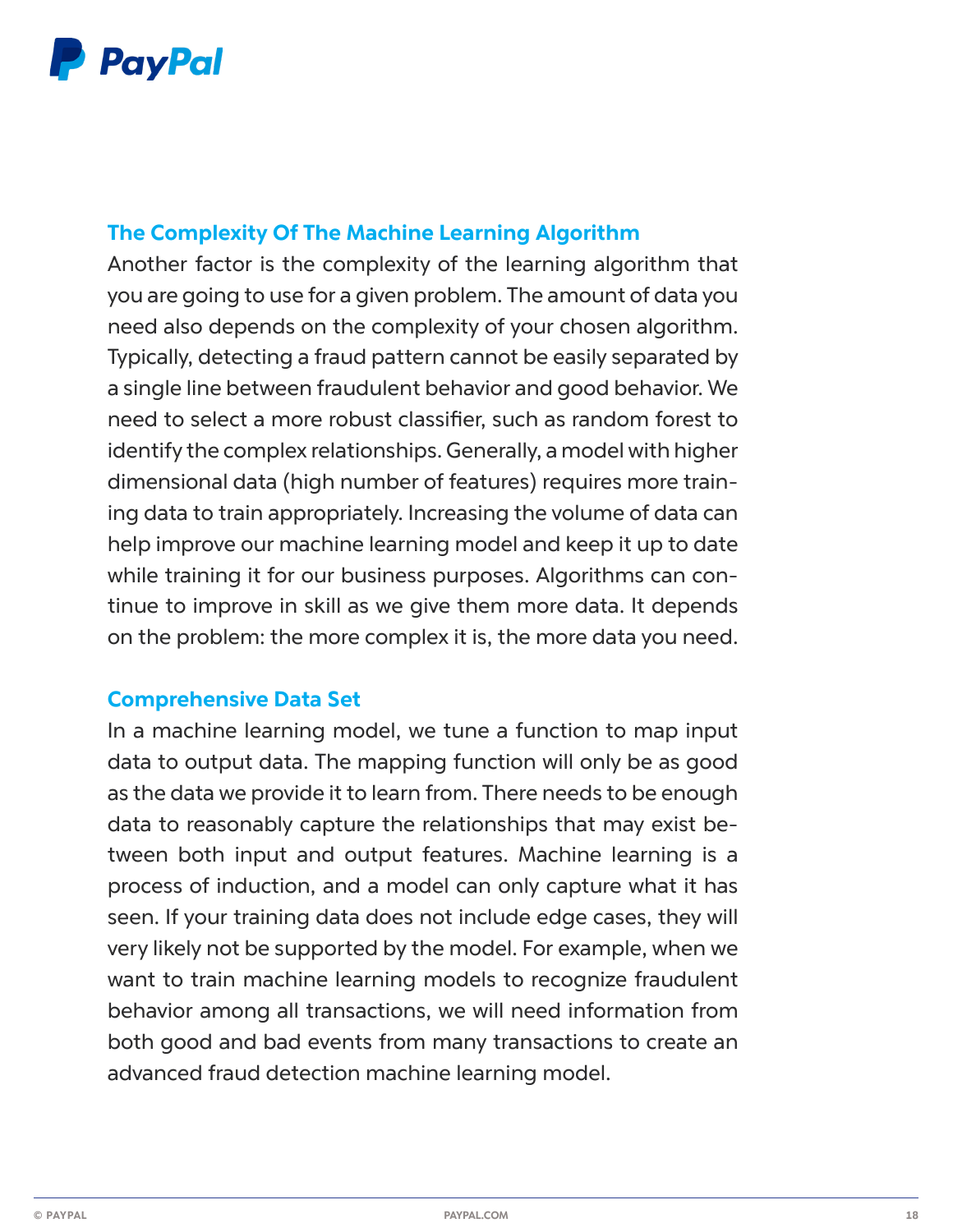

### **The Complexity Of The Machine Learning Algorithm**

Another factor is the complexity of the learning algorithm that you are going to use for a given problem. The amount of data you need also depends on the complexity of your chosen algorithm. Typically, detecting a fraud pattern cannot be easily separated by a single line between fraudulent behavior and good behavior. We need to select a more robust classifier, such as random forest to identify the complex relationships. Generally, a model with higher dimensional data (high number of features) requires more training data to train appropriately. Increasing the volume of data can help improve our machine learning model and keep it up to date while training it for our business purposes. Algorithms can continue to improve in skill as we give them more data. It depends on the problem: the more complex it is, the more data you need.

#### **Comprehensive Data Set**

In a machine learning model, we tune a function to map input data to output data. The mapping function will only be as good as the data we provide it to learn from. There needs to be enough data to reasonably capture the relationships that may exist between both input and output features. Machine learning is a process of induction, and a model can only capture what it has seen. If your training data does not include edge cases, they will very likely not be supported by the model. For example, when we want to train machine learning models to recognize fraudulent behavior among all transactions, we will need information from both good and bad events from many transactions to create an advanced fraud detection machine learning model.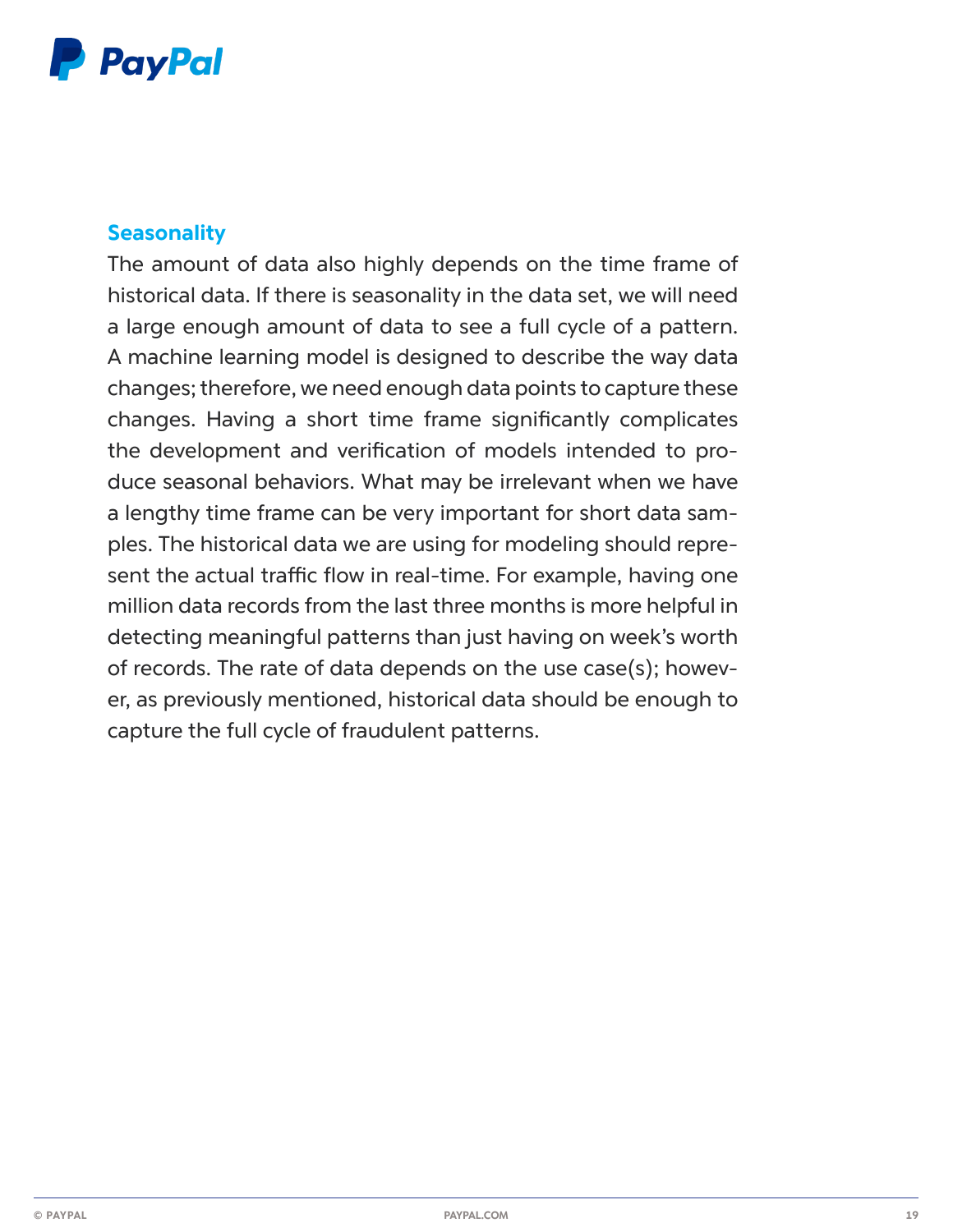## **P** PayPal

#### **Seasonality**

The amount of data also highly depends on the time frame of historical data. If there is seasonality in the data set, we will need a large enough amount of data to see a full cycle of a pattern. A machine learning model is designed to describe the way data changes; therefore, we need enough data points to capture these changes. Having a short time frame significantly complicates the development and verification of models intended to produce seasonal behaviors. What may be irrelevant when we have a lengthy time frame can be very important for short data samples. The historical data we are using for modeling should represent the actual traffic flow in real-time. For example, having one million data records from the last three months is more helpful in detecting meaningful patterns than just having on week's worth of records. The rate of data depends on the use case(s); however, as previously mentioned, historical data should be enough to capture the full cycle of fraudulent patterns.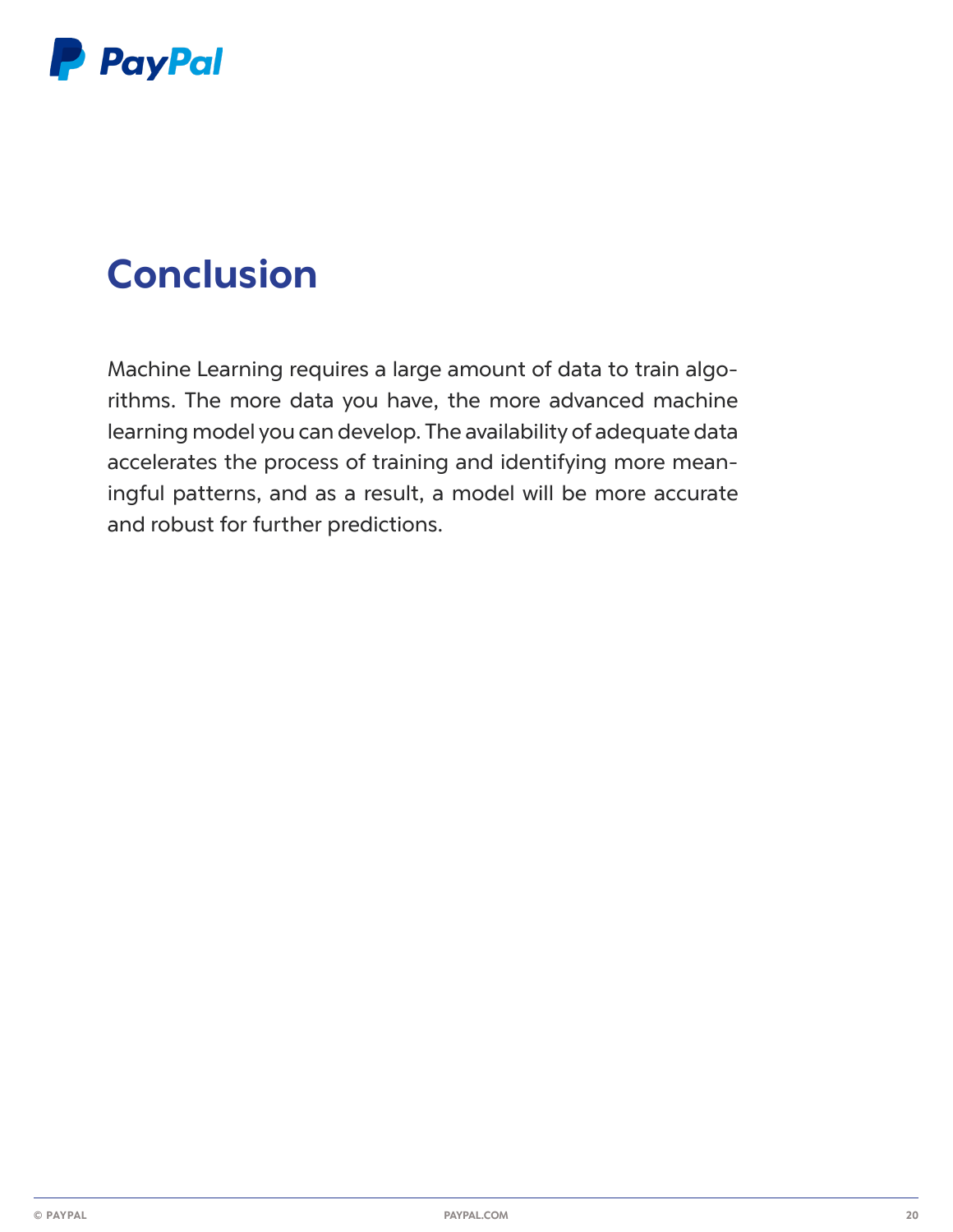

## **Conclusion**

Machine Learning requires a large amount of data to train algorithms. The more data you have, the more advanced machine learning model you can develop. The availability of adequate data accelerates the process of training and identifying more meaningful patterns, and as a result, a model will be more accurate and robust for further predictions.